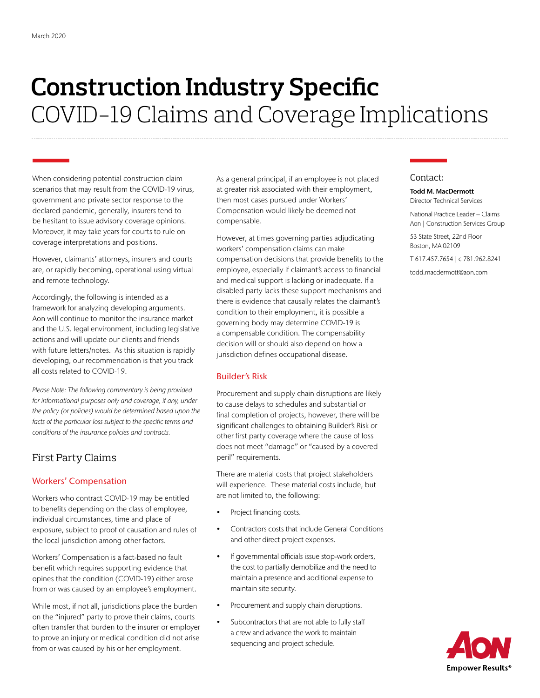# **Construction Industry Specific** COVID-19 Claims and Coverage Implications

When considering potential construction claim scenarios that may result from the COVID-19 virus, government and private sector response to the declared pandemic, generally, insurers tend to be hesitant to issue advisory coverage opinions. Moreover, it may take years for courts to rule on coverage interpretations and positions.

However, claimants' attorneys, insurers and courts are, or rapidly becoming, operational using virtual and remote technology.

Accordingly, the following is intended as a framework for analyzing developing arguments. Aon will continue to monitor the insurance market and the U.S. legal environment, including legislative actions and will update our clients and friends with future letters/notes. As this situation is rapidly developing, our recommendation is that you track all costs related to COVID-19.

*Please Note: The following commentary is being provided for informational purposes only and coverage, if any, under the policy (or policies) would be determined based upon the facts of the particular loss subject to the specific terms and conditions of the insurance policies and contracts.*

## First Party Claims

## Workers' Compensation

Workers who contract COVID-19 may be entitled to benefits depending on the class of employee, individual circumstances, time and place of exposure, subject to proof of causation and rules of the local jurisdiction among other factors.

Workers' Compensation is a fact-based no fault benefit which requires supporting evidence that opines that the condition (COVID-19) either arose from or was caused by an employee's employment.

While most, if not all, jurisdictions place the burden on the "injured" party to prove their claims, courts often transfer that burden to the insurer or employer to prove an injury or medical condition did not arise from or was caused by his or her employment.

As a general principal, if an employee is not placed at greater risk associated with their employment, then most cases pursued under Workers' Compensation would likely be deemed not compensable.

However, at times governing parties adjudicating workers' compensation claims can make compensation decisions that provide benefits to the employee, especially if claimant's access to financial and medical support is lacking or inadequate. If a disabled party lacks these support mechanisms and there is evidence that causally relates the claimant's condition to their employment, it is possible a governing body may determine COVID-19 is a compensable condition. The compensability decision will or should also depend on how a jurisdiction defines occupational disease.

### Builder's Risk

Procurement and supply chain disruptions are likely to cause delays to schedules and substantial or final completion of projects, however, there will be significant challenges to obtaining Builder's Risk or other first party coverage where the cause of loss does not meet "damage" or "caused by a covered peril" requirements.

There are material costs that project stakeholders will experience. These material costs include, but are not limited to, the following:

- Project financing costs.
- Contractors costs that include General Conditions and other direct project expenses.
- If governmental officials issue stop-work orders, the cost to partially demobilize and the need to maintain a presence and additional expense to maintain site security.
- Procurement and supply chain disruptions.
- Subcontractors that are not able to fully staff a crew and advance the work to maintain sequencing and project schedule.

## Contact:

#### Todd M. MacDermott Director Technical Services

National Practice Leader – Claims Aon | Construction Services Group

53 State Street, 22nd Floor Boston, MA 02109

T 617.457.7654 | c 781.962.8241

todd.macdermott@aon.com